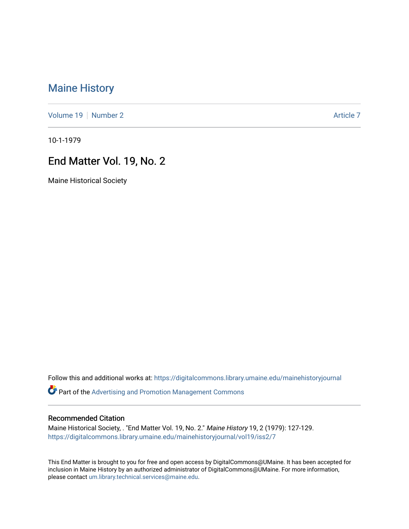# [Maine History](https://digitalcommons.library.umaine.edu/mainehistoryjournal)

[Volume 19](https://digitalcommons.library.umaine.edu/mainehistoryjournal/vol19) [Number 2](https://digitalcommons.library.umaine.edu/mainehistoryjournal/vol19/iss2) [Article 7](https://digitalcommons.library.umaine.edu/mainehistoryjournal/vol19/iss2/7) Article 7 Article 7

10-1-1979

## End Matter Vol. 19, No. 2

Maine Historical Society

Follow this and additional works at: [https://digitalcommons.library.umaine.edu/mainehistoryjournal](https://digitalcommons.library.umaine.edu/mainehistoryjournal?utm_source=digitalcommons.library.umaine.edu%2Fmainehistoryjournal%2Fvol19%2Fiss2%2F7&utm_medium=PDF&utm_campaign=PDFCoverPages) 

Part of the [Advertising and Promotion Management Commons](http://network.bepress.com/hgg/discipline/626?utm_source=digitalcommons.library.umaine.edu%2Fmainehistoryjournal%2Fvol19%2Fiss2%2F7&utm_medium=PDF&utm_campaign=PDFCoverPages) 

#### Recommended Citation

Maine Historical Society, . "End Matter Vol. 19, No. 2." Maine History 19, 2 (1979): 127-129. [https://digitalcommons.library.umaine.edu/mainehistoryjournal/vol19/iss2/7](https://digitalcommons.library.umaine.edu/mainehistoryjournal/vol19/iss2/7?utm_source=digitalcommons.library.umaine.edu%2Fmainehistoryjournal%2Fvol19%2Fiss2%2F7&utm_medium=PDF&utm_campaign=PDFCoverPages)

This End Matter is brought to you for free and open access by DigitalCommons@UMaine. It has been accepted for inclusion in Maine History by an authorized administrator of DigitalCommons@UMaine. For more information, please contact [um.library.technical.services@maine.edu.](mailto:um.library.technical.services@maine.edu)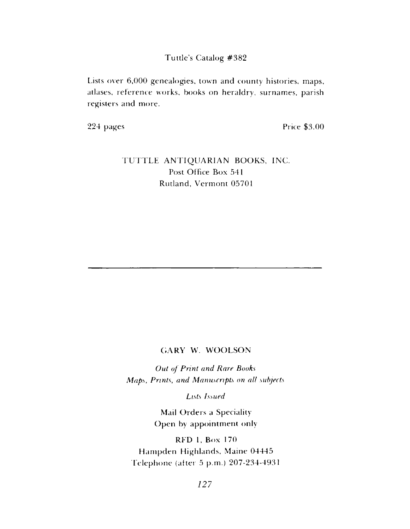### Tuttle's Catalog #382

Lists over 6,000 genealogies, town and county histories, maps, atlases, reference works, books on heraldry, surnames, parish registers and more.

224 pages Price \$3.00

## TUTTLE ANTIQUARIAN BOOKS, INC. Post Office Box 541 Rutland, Vermont 05701

### GARY W. WOOLSON

**Out of Print and Rare Books** *Maps, Prints*, *and Manuscripts on all subjects*

*Lists Issued*

Mail Orders a Speciality Open by appointment only

RED 1, Box 170 Hampden Highlands, Maine 04445 Telephone (after 5 p.m.) 207-234-4931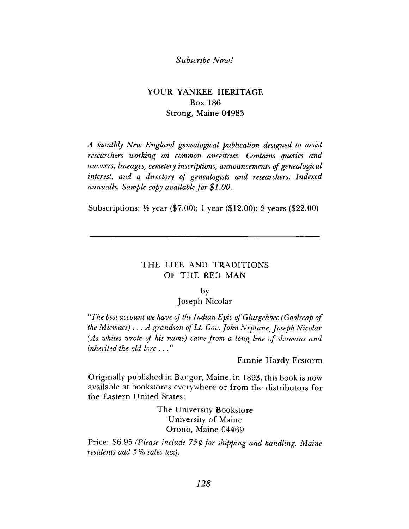### *Subscribe Now!*

## YOUR YANKEE HERITAGE **Box 186 Strong, Maine 04983**

*A monthly New England genealogical publication designed to assist researchers working on common ancestries. Contains queries and answers***,** *lineages***,** *cemetery inscriptions, announcements of genealogical interest***,** *and a directory of genealogists and researchers. Indexed annually. Sample copy available for \$1.00.*

**Subscriptions:** <sup>1</sup>/<sub>2</sub> year (\$7.00); 1 year (\$12.00); 2 years (\$22.00)

### THE LIFE AND TRADITIONS **OF THE RED MAN**

#### by

#### **Joseph Nicolar**

*"The best account we have of the Indian Epic of Glusgehbec (Goolscap of the Micmacs) ... A grandson of Lt. Gov. John Neptune, Joseph Nicolar (As whites wrote of his name) came from a long line of shamans and inherited the old lore*

**Fannie Hardy Ecstorm** 

**Originally published in Bangor, Maine, in 1893, this book is now** available at bookstores everywhere or from the distributors for the Eastern United States:

> **The University Bookstore University of Maine Orono, Maine 04469**

Price: \$6.95 (Please include 75¢ for shipping and handling. Maine *residents add 5% sales tax).*